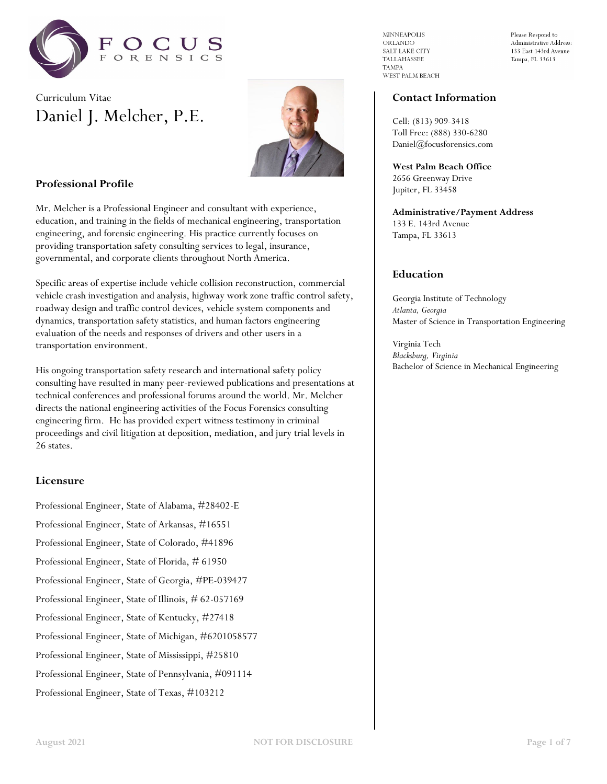

# Curriculum Vitae Daniel J. Melcher, P.E.



## **Professional Profile**

Mr. Melcher is a Professional Engineer and consultant with experience, education, and training in the fields of mechanical engineering, transportation engineering, and forensic engineering. His practice currently focuses on providing transportation safety consulting services to legal, insurance, governmental, and corporate clients throughout North America.

Specific areas of expertise include vehicle collision reconstruction, commercial vehicle crash investigation and analysis, highway work zone traffic control safety, roadway design and traffic control devices, vehicle system components and dynamics, transportation safety statistics, and human factors engineering evaluation of the needs and responses of drivers and other users in a transportation environment.

His ongoing transportation safety research and international safety policy consulting have resulted in many peer-reviewed publications and presentations at technical conferences and professional forums around the world. Mr. Melcher directs the national engineering activities of the Focus Forensics consulting engineering firm. He has provided expert witness testimony in criminal proceedings and civil litigation at deposition, mediation, and jury trial levels in 26 states.

## **Licensure**

Professional Engineer, State of Alabama, #28402-E

Professional Engineer, State of Arkansas, #16551

Professional Engineer, State of Colorado, #41896

Professional Engineer, State of Florida, # 61950

Professional Engineer, State of Georgia, #PE-039427

Professional Engineer, State of Illinois, # 62-057169

Professional Engineer, State of Kentucky, #27418

Professional Engineer, State of Michigan, #6201058577

Professional Engineer, State of Mississippi, #25810

Professional Engineer, State of Pennsylvania, #091114

Professional Engineer, State of Texas, #103212

**MINNEAPOLIS ORLANDO** SALT LAKE CITY  ${\bf TALLAHASSEE}$ **TAMPA** WEST PALM BEACH

Please Respond to Administrative Address: 133 East 143rd Avenue Tampa, FL 33613

#### **Contact Information**

Cell: (813) 909-3418 Toll Free: (888) 330-6280 Daniel@focusforensics.com

**West Palm Beach Office** 2656 Greenway Drive Jupiter, FL 33458

**Administrative/Payment Address** 133 E. 143rd Avenue Tampa, FL 33613

## **Education**

Georgia Institute of Technology *Atlanta, Georgia* Master of Science in Transportation Engineering

Virginia Tech *Blacksburg, Virginia* Bachelor of Science in Mechanical Engineering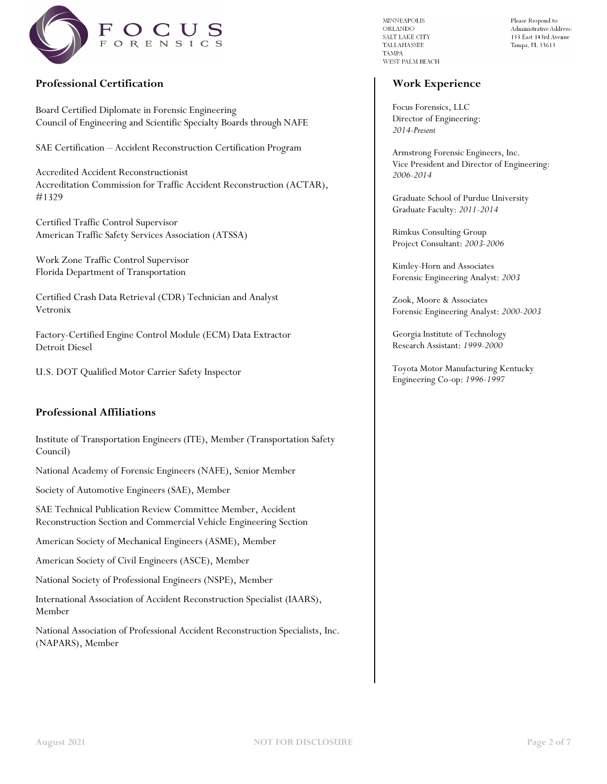

## **Professional Certification**

Board Certified Diplomate in Forensic Engineering Council of Engineering and Scientific Specialty Boards through NAFE

SAE Certification – Accident Reconstruction Certification Program

Accredited Accident Reconstructionist Accreditation Commission for Traffic Accident Reconstruction (ACTAR), #1329

Certified Traffic Control Supervisor American Traffic Safety Services Association (ATSSA)

Work Zone Traffic Control Supervisor Florida Department of Transportation

Certified Crash Data Retrieval (CDR) Technician and Analyst Vetronix

Factory-Certified Engine Control Module (ECM) Data Extractor Detroit Diesel

U.S. DOT Qualified Motor Carrier Safety Inspector

## **Professional Affiliations**

Institute of Transportation Engineers (ITE), Member (Transportation Safety Council)

National Academy of Forensic Engineers (NAFE), Senior Member

Society of Automotive Engineers (SAE), Member

SAE Technical Publication Review Committee Member, Accident Reconstruction Section and Commercial Vehicle Engineering Section

American Society of Mechanical Engineers (ASME), Member

American Society of Civil Engineers (ASCE), Member

National Society of Professional Engineers (NSPE), Member

International Association of Accident Reconstruction Specialist (IAARS), Member

National Association of Professional Accident Reconstruction Specialists, Inc. (NAPARS), Member

**MINNEAPOLIS** ORLANDO SALT LAKE CITY TALLAHASSEE **TAMPA** WEST PALM BEACH

 $\bold{Please}$  Respond to Administrative Address: 133 East 143rd Avenue Tampa, FL 33613

## **Work Experience**

Focus Forensics, LLC Director of Engineering: *2014-Present*

Armstrong Forensic Engineers, Inc. Vice President and Director of Engineering: *2006-2014*

Graduate School of Purdue University Graduate Faculty: *2011-2014*

Rimkus Consulting Group Project Consultant: *2003-2006*

Kimley-Horn and Associates Forensic Engineering Analyst: *2003*

Zook, Moore & Associates Forensic Engineering Analyst: *2000-2003*

Georgia Institute of Technology Research Assistant: *1999-2000*

Toyota Motor Manufacturing Kentucky Engineering Co-op: *1996-1997*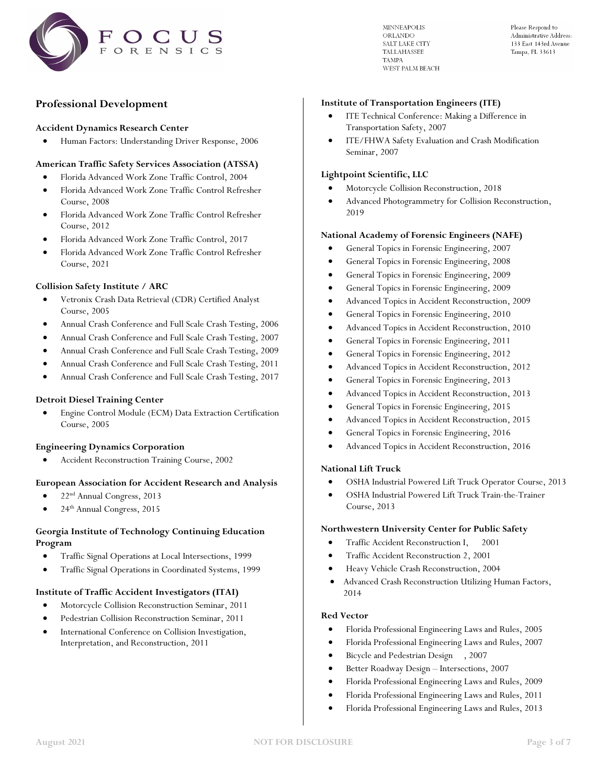

**MINNEAPOLIS** ORLANDO **SALT LAKE CITY TALLAHASSEE TAMPA** WEST PALM BEACH Please Respond to Administrative Address: 133 East 143rd Avenue Tampa, FL 33613

## **Professional Development**

#### **Accident Dynamics Research Center**

• Human Factors: Understanding Driver Response, 2006

## **American Traffic Safety Services Association (ATSSA)**

- Florida Advanced Work Zone Traffic Control, 2004
- Florida Advanced Work Zone Traffic Control Refresher Course, 2008
- Florida Advanced Work Zone Traffic Control Refresher Course, 2012
- Florida Advanced Work Zone Traffic Control, 2017
- Florida Advanced Work Zone Traffic Control Refresher Course, 2021

#### **Collision Safety Institute / ARC**

- Vetronix Crash Data Retrieval (CDR) Certified Analyst Course, 2005
- Annual Crash Conference and Full Scale Crash Testing, 2006
- Annual Crash Conference and Full Scale Crash Testing, 2007
- Annual Crash Conference and Full Scale Crash Testing, 2009
- Annual Crash Conference and Full Scale Crash Testing, 2011
- Annual Crash Conference and Full Scale Crash Testing, 2017

#### **Detroit Diesel Training Center**

• Engine Control Module (ECM) Data Extraction Certification Course, 2005

#### **Engineering Dynamics Corporation**

• Accident Reconstruction Training Course, 2002

#### **European Association for Accident Research and Analysis**

- 22nd Annual Congress, 2013
- 24th Annual Congress, 2015

#### **Georgia Institute of Technology Continuing Education Program**

- Traffic Signal Operations at Local Intersections, 1999
- Traffic Signal Operations in Coordinated Systems, 1999

#### **Institute of Traffic Accident Investigators (ITAI)**

- Motorcycle Collision Reconstruction Seminar, 2011
- Pedestrian Collision Reconstruction Seminar, 2011
- International Conference on Collision Investigation, Interpretation, and Reconstruction, 2011

#### **Institute of Transportation Engineers (ITE)**

- ITE Technical Conference: Making a Difference in Transportation Safety, 2007
- ITE/FHWA Safety Evaluation and Crash Modification Seminar, 2007

#### **Lightpoint Scientific, LLC**

- Motorcycle Collision Reconstruction, 2018
- Advanced Photogrammetry for Collision Reconstruction, 2019

#### **National Academy of Forensic Engineers (NAFE)**

- General Topics in Forensic Engineering, 2007
- General Topics in Forensic Engineering, 2008
- General Topics in Forensic Engineering, 2009
- General Topics in Forensic Engineering, 2009
- Advanced Topics in Accident Reconstruction, 2009
- General Topics in Forensic Engineering, 2010
- Advanced Topics in Accident Reconstruction, 2010
- General Topics in Forensic Engineering, 2011
- General Topics in Forensic Engineering, 2012
- Advanced Topics in Accident Reconstruction, 2012
- General Topics in Forensic Engineering, 2013
- Advanced Topics in Accident Reconstruction, 2013
- General Topics in Forensic Engineering, 2015
- Advanced Topics in Accident Reconstruction, 2015
- General Topics in Forensic Engineering, 2016
- Advanced Topics in Accident Reconstruction, 2016

#### **National Lift Truck**

- OSHA Industrial Powered Lift Truck Operator Course, 2013
- OSHA Industrial Powered Lift Truck Train-the-Trainer Course, 2013

#### **Northwestern University Center for Public Safety**

- Traffic Accident Reconstruction I, 2001
- Traffic Accident Reconstruction 2, 2001
- Heavy Vehicle Crash Reconstruction, 2004
- Advanced Crash Reconstruction Utilizing Human Factors, 2014

#### **Red Vector**

- Florida Professional Engineering Laws and Rules, 2005
- Florida Professional Engineering Laws and Rules, 2007
- Bicycle and Pedestrian Design , 2007
- Better Roadway Design Intersections, 2007
- Florida Professional Engineering Laws and Rules, 2009
- Florida Professional Engineering Laws and Rules, 2011
- Florida Professional Engineering Laws and Rules, 2013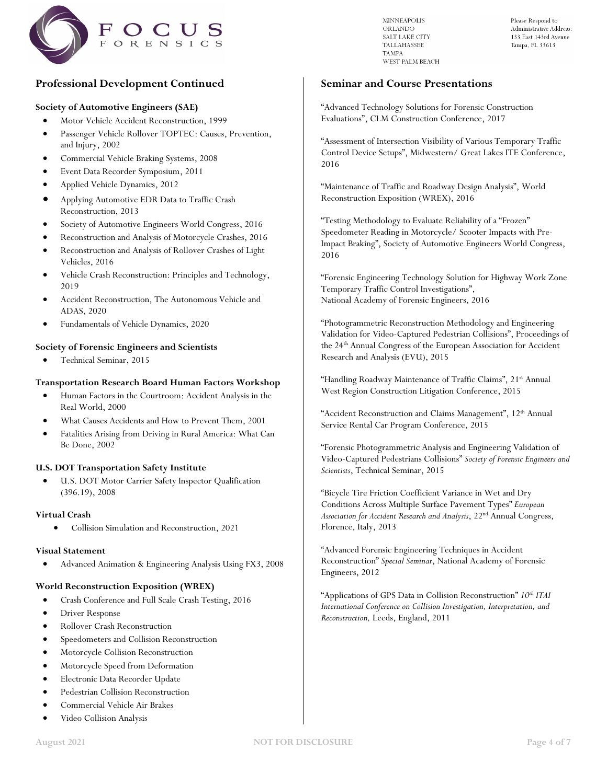

**Professional Development Continued**

#### **Society of Automotive Engineers (SAE)**

- Motor Vehicle Accident Reconstruction, 1999
- Passenger Vehicle Rollover TOPTEC: Causes, Prevention, and Injury, 2002
- Commercial Vehicle Braking Systems, 2008
- Event Data Recorder Symposium, 2011
- Applied Vehicle Dynamics, 2012
- Applying Automotive EDR Data to Traffic Crash Reconstruction, 2013
- Society of Automotive Engineers World Congress, 2016
- Reconstruction and Analysis of Motorcycle Crashes, 2016
- Reconstruction and Analysis of Rollover Crashes of Light Vehicles, 2016
- Vehicle Crash Reconstruction: Principles and Technology, 2019
- Accident Reconstruction, The Autonomous Vehicle and ADAS, 2020
- Fundamentals of Vehicle Dynamics, 2020

#### **Society of Forensic Engineers and Scientists**

• Technical Seminar, 2015

#### **Transportation Research Board Human Factors Workshop**

- Human Factors in the Courtroom: Accident Analysis in the Real World, 2000
- What Causes Accidents and How to Prevent Them, 2001
- Fatalities Arising from Driving in Rural America: What Can Be Done, 2002

#### **U.S. DOT Transportation Safety Institute**

U.S. DOT Motor Carrier Safety Inspector Qualification (396.19), 2008

#### **Virtual Crash**

• Collision Simulation and Reconstruction, 2021

#### **Visual Statement**

• Advanced Animation & Engineering Analysis Using FX3, 2008

#### **World Reconstruction Exposition (WREX)**

- Crash Conference and Full Scale Crash Testing, 2016
- Driver Response
- Rollover Crash Reconstruction
- Speedometers and Collision Reconstruction
- Motorcycle Collision Reconstruction
- Motorcycle Speed from Deformation
- Electronic Data Recorder Update
- Pedestrian Collision Reconstruction
- Commercial Vehicle Air Brakes
- Video Collision Analysis

**MINNEAPOLIS** ORLANDO SALT LAKE CITY **TALLAHASSEE TAMPA** WEST PALM BEACH  $\bold{Please}$  Respond to Administrative Address: 133 East 143rd Avenue Tampa, FL 33613

#### **Seminar and Course Presentations**

"Advanced Technology Solutions for Forensic Construction Evaluations", CLM Construction Conference, 2017

"Assessment of Intersection Visibility of Various Temporary Traffic Control Device Setups", Midwestern/ Great Lakes ITE Conference, 2016

"Maintenance of Traffic and Roadway Design Analysis", World Reconstruction Exposition (WREX), 2016

"Testing Methodology to Evaluate Reliability of a "Frozen" Speedometer Reading in Motorcycle/ Scooter Impacts with Pre-Impact Braking", Society of Automotive Engineers World Congress, 2016

"Forensic Engineering Technology Solution for Highway Work Zone Temporary Traffic Control Investigations", National Academy of Forensic Engineers, 2016

"Photogrammetric Reconstruction Methodology and Engineering Validation for Video-Captured Pedestrian Collisions", Proceedings of the 24<sup>th</sup> Annual Congress of the European Association for Accident Research and Analysis (EVU), 2015

"Handling Roadway Maintenance of Traffic Claims", 21<sup>st</sup> Annual West Region Construction Litigation Conference, 2015

"Accident Reconstruction and Claims Management", 12<sup>th</sup> Annual Service Rental Car Program Conference, 2015

"Forensic Photogrammetric Analysis and Engineering Validation of Video-Captured Pedestrians Collisions" *Society of Forensic Engineers and Scientists*, Technical Seminar, 2015

"Bicycle Tire Friction Coefficient Variance in Wet and Dry Conditions Across Multiple Surface Pavement Types" *European Association for Accident Research and Analysis*, 22nd Annual Congress, Florence, Italy, 2013

"Advanced Forensic Engineering Techniques in Accident Reconstruction" *Special Seminar*, National Academy of Forensic Engineers, 2012

"Applications of GPS Data in Collision Reconstruction" *10th ITAI International Conference on Collision Investigation, Interpretation, and Reconstruction,* Leeds, England, 2011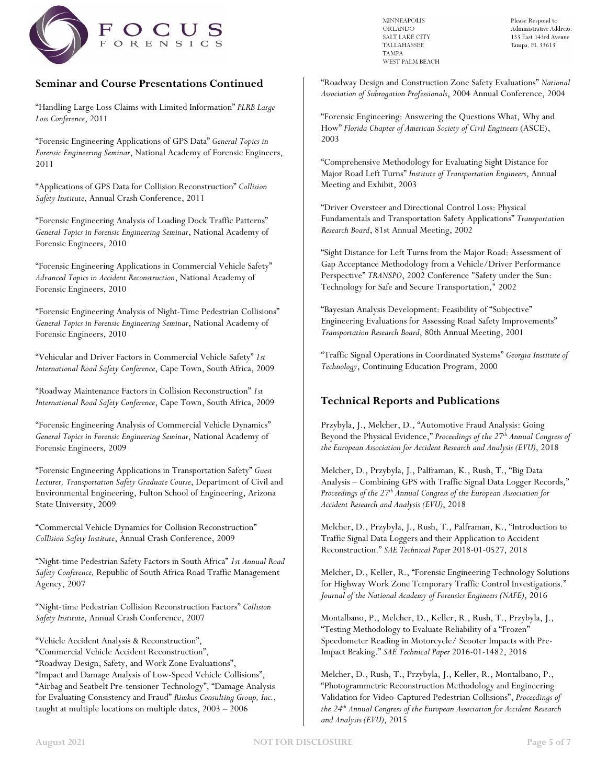

## **Seminar and Course Presentations Continued**

"Handling Large Loss Claims with Limited Information" *PLRB Large Loss Conference*, 2011

"Forensic Engineering Applications of GPS Data" *General Topics in Forensic Engineering Seminar*, National Academy of Forensic Engineers, 2011

"Applications of GPS Data for Collision Reconstruction" *Collision Safety Institute*, Annual Crash Conference, 2011

"Forensic Engineering Analysis of Loading Dock Traffic Patterns" *General Topics in Forensic Engineering Seminar*, National Academy of Forensic Engineers, 2010

"Forensic Engineering Applications in Commercial Vehicle Safety" *Advanced Topics in Accident Reconstruction*, National Academy of Forensic Engineers, 2010

"Forensic Engineering Analysis of Night-Time Pedestrian Collisions" *General Topics in Forensic Engineering Seminar*, National Academy of Forensic Engineers, 2010

"Vehicular and Driver Factors in Commercial Vehicle Safety" *1st International Road Safety Conference*, Cape Town, South Africa, 2009

"Roadway Maintenance Factors in Collision Reconstruction" *1st International Road Safety Conference*, Cape Town, South Africa, 2009

"Forensic Engineering Analysis of Commercial Vehicle Dynamics" *General Topics in Forensic Engineering Seminar*, National Academy of Forensic Engineers, 2009

"Forensic Engineering Applications in Transportation Safety" *Guest Lecturer, Transportation Safety Graduate Course*, Department of Civil and Environmental Engineering, Fulton School of Engineering, Arizona State University, 2009

"Commercial Vehicle Dynamics for Collision Reconstruction" *Collision Safety Institute*, Annual Crash Conference, 2009

"Night-time Pedestrian Safety Factors in South Africa" *1st Annual Road Safety Conference,* Republic of South Africa Road Traffic Management Agency, 2007

"Night-time Pedestrian Collision Reconstruction Factors" *Collision Safety Institute*, Annual Crash Conference, 2007

"Vehicle Accident Analysis & Reconstruction", "Commercial Vehicle Accident Reconstruction", "Roadway Design, Safety, and Work Zone Evaluations", "Impact and Damage Analysis of Low-Speed Vehicle Collisions", "Airbag and Seatbelt Pre-tensioner Technology", "Damage Analysis for Evaluating Consistency and Fraud" *Rimkus Consulting Group, Inc.*, taught at multiple locations on multiple dates, 2003 – 2006

**MINNEAPOLIS** ORLANDO SALT LAKE CITY TALLAHASSEE **TAMPA** WEST PALM BEACH

Please Respond to Administrative Address: 133 East 143rd Avenue Tampa, FL 33613

"Roadway Design and Construction Zone Safety Evaluations" *National Association of Subrogation Professionals*, 2004 Annual Conference, 2004

"Forensic Engineering: Answering the Questions What, Why and How" *Florida Chapter of American Society of Civil Engineers* (ASCE), 2003

"Comprehensive Methodology for Evaluating Sight Distance for Major Road Left Turns" *Institute of Transportation Engineers*, Annual Meeting and Exhibit, 2003

"Driver Oversteer and Directional Control Loss: Physical Fundamentals and Transportation Safety Applications" *Transportation Research Board*, 81st Annual Meeting, 2002

"Sight Distance for Left Turns from the Major Road: Assessment of Gap Acceptance Methodology from a Vehicle/Driver Performance Perspective" *TRANSPO*, 2002 Conference "Safety under the Sun: Technology for Safe and Secure Transportation," 2002

"Bayesian Analysis Development: Feasibility of "Subjective" Engineering Evaluations for Assessing Road Safety Improvements" *Transportation Research Board*, 80th Annual Meeting, 2001

"Traffic Signal Operations in Coordinated Systems" *Georgia Institute of Technology*, Continuing Education Program, 2000

## **Technical Reports and Publications**

Przybyla, J., Melcher, D., "Automotive Fraud Analysis: Going Beyond the Physical Evidence," *Proceedings of the 27th Annual Congress of the European Association for Accident Research and Analysis (EVU)*, 2018

Melcher, D., Przybyla, J., Palframan, K., Rush, T., "Big Data Analysis – Combining GPS with Traffic Signal Data Logger Records," *Proceedings of the 27th Annual Congress of the European Association for Accident Research and Analysis (EVU)*, 2018

Melcher, D., Przybyla, J., Rush, T., Palframan, K., "Introduction to Traffic Signal Data Loggers and their Application to Accident Reconstruction." *SAE Technical Paper* 2018-01-0527, 2018

Melcher, D., Keller, R., "Forensic Engineering Technology Solutions for Highway Work Zone Temporary Traffic Control Investigations." *Journal of the National Academy of Forensics Engineers (NAFE)*, 2016

Montalbano, P., Melcher, D., Keller, R., Rush, T., Przybyla, J., "Testing Methodology to Evaluate Reliability of a "Frozen" Speedometer Reading in Motorcycle/ Scooter Impacts with Pre-Impact Braking." *SAE Technical Paper* 2016-01-1482, 2016

Melcher, D., Rush, T., Przybyla, J., Keller, R., Montalbano, P., "Photogrammetric Reconstruction Methodology and Engineering Validation for Video-Captured Pedestrian Collisions", *Proceedings of the 24th Annual Congress of the European Association for Accident Research and Analysis (EVU)*, 2015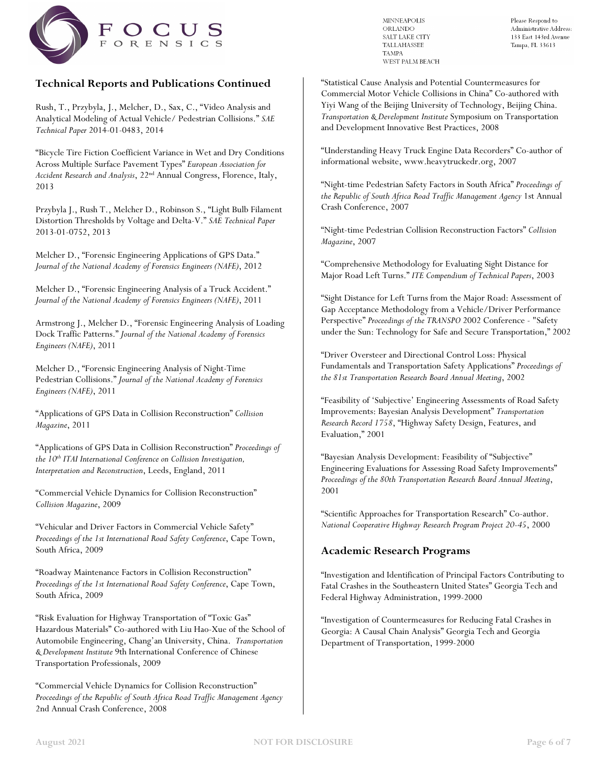

## **Technical Reports and Publications Continued**

Rush, T., Przybyla, J., Melcher, D., Sax, C., "Video Analysis and Analytical Modeling of Actual Vehicle/ Pedestrian Collisions." *SAE Technical Paper* 2014-01-0483, 2014

"Bicycle Tire Fiction Coefficient Variance in Wet and Dry Conditions Across Multiple Surface Pavement Types" *European Association for Accident Research and Analysis*, 22nd Annual Congress, Florence, Italy, 2013

Przybyla J., Rush T., Melcher D., Robinson S., "Light Bulb Filament Distortion Thresholds by Voltage and Delta-V." *SAE Technical Paper* 2013-01-0752, 2013

Melcher D., "Forensic Engineering Applications of GPS Data." *Journal of the National Academy of Forensics Engineers (NAFE)*, 2012

Melcher D., "Forensic Engineering Analysis of a Truck Accident." *Journal of the National Academy of Forensics Engineers (NAFE)*, 2011

Armstrong J., Melcher D., "Forensic Engineering Analysis of Loading Dock Traffic Patterns." *Journal of the National Academy of Forensics Engineers (NAFE)*, 2011

Melcher D., "Forensic Engineering Analysis of Night-Time Pedestrian Collisions." *Journal of the National Academy of Forensics Engineers (NAFE)*, 2011

"Applications of GPS Data in Collision Reconstruction" *Collision Magazine*, 2011

"Applications of GPS Data in Collision Reconstruction" *Proceedings of the 10th ITAI International Conference on Collision Investigation, Interpretation and Reconstruction*, Leeds, England, 2011

"Commercial Vehicle Dynamics for Collision Reconstruction" *Collision Magazine*, 2009

"Vehicular and Driver Factors in Commercial Vehicle Safety" *Proceedings of the 1st International Road Safety Conference*, Cape Town, South Africa, 2009

"Roadway Maintenance Factors in Collision Reconstruction" *Proceedings of the 1st International Road Safety Conference*, Cape Town, South Africa, 2009

"Risk Evaluation for Highway Transportation of "Toxic Gas" Hazardous Materials" Co-authored with Liu Hao-Xue of the School of Automobile Engineering, Chang'an University, China. *Transportation & Development Institute* 9th International Conference of Chinese Transportation Professionals, 2009

"Commercial Vehicle Dynamics for Collision Reconstruction" *Proceedings of the Republic of South Africa Road Traffic Management Agency* 2nd Annual Crash Conference, 2008

**MINNEAPOLIS** ORLANDO SALT LAKE CITY **TALLAHASSEE TAMPA** WEST PALM BEACH

 $\bold{Please}$  Respond to Administrative Address: 133 East 143rd Avenue Tampa, FL 33613

"Statistical Cause Analysis and Potential Countermeasures for Commercial Motor Vehicle Collisions in China" Co-authored with Yiyi Wang of the Beijing University of Technology, Beijing China. *Transportation & Development Institute* Symposium on Transportation and Development Innovative Best Practices, 2008

"Understanding Heavy Truck Engine Data Recorders" Co-author of informational website, www.heavytruckedr.org, 2007

"Night-time Pedestrian Safety Factors in South Africa" *Proceedings of the Republic of South Africa Road Traffic Management Agency* 1st Annual Crash Conference, 2007

"Night-time Pedestrian Collision Reconstruction Factors" *Collision Magazine*, 2007

"Comprehensive Methodology for Evaluating Sight Distance for Major Road Left Turns." *ITE Compendium of Technical Papers*, 2003

"Sight Distance for Left Turns from the Major Road: Assessment of Gap Acceptance Methodology from a Vehicle/Driver Performance Perspective" *Proceedings of the TRANSPO* 2002 Conference - "Safety under the Sun: Technology for Safe and Secure Transportation," 2002

"Driver Oversteer and Directional Control Loss: Physical Fundamentals and Transportation Safety Applications" *Proceedings of the 81st Transportation Research Board Annual Meeting*, 2002

"Feasibility of 'Subjective' Engineering Assessments of Road Safety Improvements: Bayesian Analysis Development" *Transportation Research Record 1758*, "Highway Safety Design, Features, and Evaluation," 2001

"Bayesian Analysis Development: Feasibility of "Subjective" Engineering Evaluations for Assessing Road Safety Improvements" *Proceedings of the 80th Transportation Research Board Annual Meeting*, 2001

"Scientific Approaches for Transportation Research" Co-author. *National Cooperative Highway Research Program Project 20-45*, 2000

## **Academic Research Programs**

"Investigation and Identification of Principal Factors Contributing to Fatal Crashes in the Southeastern United States" Georgia Tech and Federal Highway Administration, 1999-2000

"Investigation of Countermeasures for Reducing Fatal Crashes in Georgia: A Causal Chain Analysis" Georgia Tech and Georgia Department of Transportation, 1999-2000